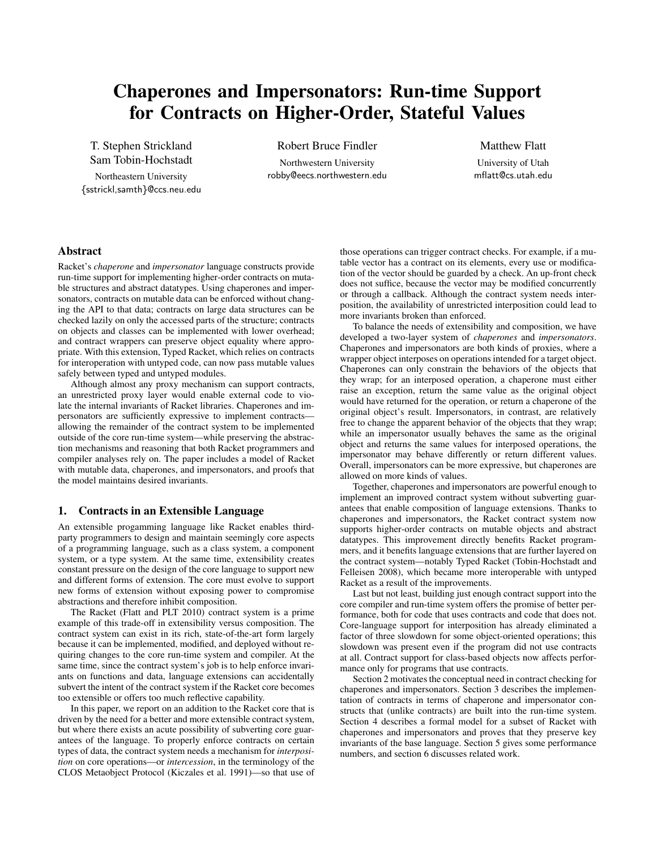# Chaperones and Impersonators: Run-time Support for Contracts on Higher-Order, Stateful Values

T. Stephen Strickland Sam Tobin-Hochstadt

Northeastern University {sstrickl,samth}@ccs.neu.edu

Robert Bruce Findler Northwestern University robby@eecs.northwestern.edu

Matthew Flatt University of Utah mflatt@cs.utah.edu

## Abstract

Racket's *chaperone* and *impersonator* language constructs provide run-time support for implementing higher-order contracts on mutable structures and abstract datatypes. Using chaperones and impersonators, contracts on mutable data can be enforced without changing the API to that data; contracts on large data structures can be checked lazily on only the accessed parts of the structure; contracts on objects and classes can be implemented with lower overhead; and contract wrappers can preserve object equality where appropriate. With this extension, Typed Racket, which relies on contracts for interoperation with untyped code, can now pass mutable values safely between typed and untyped modules.

Although almost any proxy mechanism can support contracts, an unrestricted proxy layer would enable external code to violate the internal invariants of Racket libraries. Chaperones and impersonators are sufficiently expressive to implement contracts allowing the remainder of the contract system to be implemented outside of the core run-time system—while preserving the abstraction mechanisms and reasoning that both Racket programmers and compiler analyses rely on. The paper includes a model of Racket with mutable data, chaperones, and impersonators, and proofs that the model maintains desired invariants.

## 1. Contracts in an Extensible Language

An extensible progamming language like Racket enables thirdparty programmers to design and maintain seemingly core aspects of a programming language, such as a class system, a component system, or a type system. At the same time, extensibility creates constant pressure on the design of the core language to support new and different forms of extension. The core must evolve to support new forms of extension without exposing power to compromise abstractions and therefore inhibit composition.

The Racket (Flatt and PLT 2010) contract system is a prime example of this trade-off in extensibility versus composition. The contract system can exist in its rich, state-of-the-art form largely because it can be implemented, modified, and deployed without requiring changes to the core run-time system and compiler. At the same time, since the contract system's job is to help enforce invariants on functions and data, language extensions can accidentally subvert the intent of the contract system if the Racket core becomes too extensible or offers too much reflective capability.

In this paper, we report on an addition to the Racket core that is driven by the need for a better and more extensible contract system, but where there exists an acute possibility of subverting core guarantees of the language. To properly enforce contracts on certain types of data, the contract system needs a mechanism for *interposition* on core operations—or *intercession*, in the terminology of the CLOS Metaobject Protocol (Kiczales et al. 1991)—so that use of

those operations can trigger contract checks. For example, if a mutable vector has a contract on its elements, every use or modification of the vector should be guarded by a check. An up-front check does not suffice, because the vector may be modified concurrently or through a callback. Although the contract system needs interposition, the availability of unrestricted interposition could lead to more invariants broken than enforced.

To balance the needs of extensibility and composition, we have developed a two-layer system of *chaperones* and *impersonators*. Chaperones and impersonators are both kinds of proxies, where a wrapper object interposes on operations intended for a target object. Chaperones can only constrain the behaviors of the objects that they wrap; for an interposed operation, a chaperone must either raise an exception, return the same value as the original object would have returned for the operation, or return a chaperone of the original object's result. Impersonators, in contrast, are relatively free to change the apparent behavior of the objects that they wrap; while an impersonator usually behaves the same as the original object and returns the same values for interposed operations, the impersonator may behave differently or return different values. Overall, impersonators can be more expressive, but chaperones are allowed on more kinds of values.

Together, chaperones and impersonators are powerful enough to implement an improved contract system without subverting guarantees that enable composition of language extensions. Thanks to chaperones and impersonators, the Racket contract system now supports higher-order contracts on mutable objects and abstract datatypes. This improvement directly benefits Racket programmers, and it benefits language extensions that are further layered on the contract system—notably Typed Racket (Tobin-Hochstadt and Felleisen 2008), which became more interoperable with untyped Racket as a result of the improvements.

Last but not least, building just enough contract support into the core compiler and run-time system offers the promise of better performance, both for code that uses contracts and code that does not. Core-language support for interposition has already eliminated a factor of three slowdown for some object-oriented operations; this slowdown was present even if the program did not use contracts at all. Contract support for class-based objects now affects performance only for programs that use contracts.

Section 2 motivates the conceptual need in contract checking for chaperones and impersonators. Section 3 describes the implementation of contracts in terms of chaperone and impersonator constructs that (unlike contracts) are built into the run-time system. Section 4 describes a formal model for a subset of Racket with chaperones and impersonators and proves that they preserve key invariants of the base language. Section 5 gives some performance numbers, and section 6 discusses related work.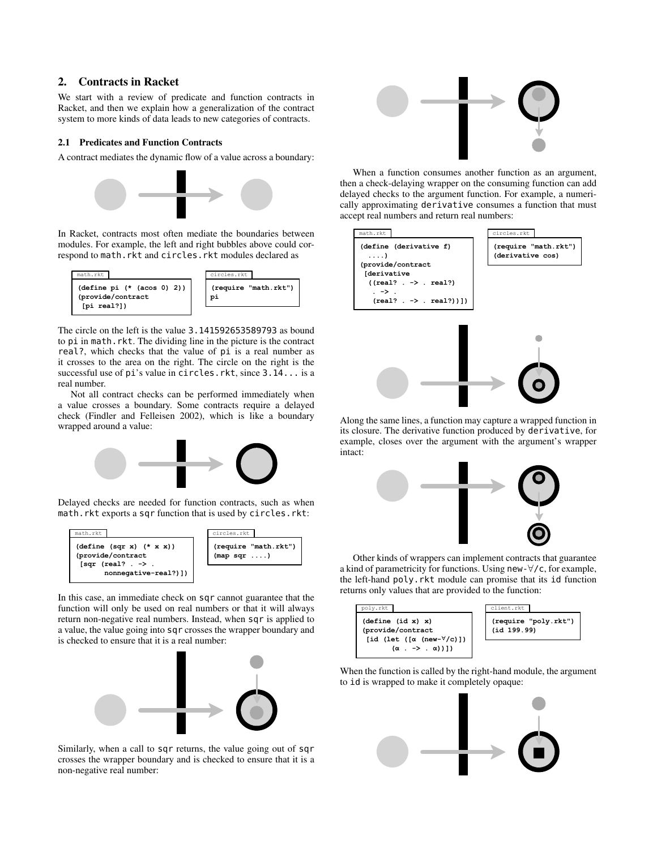#### $2.$ **Contracts in Racket**

We start with a review of predicate and function contracts in Racket, and then we explain how a generalization of the contract system to more kinds of data leads to new categories of contracts.

## 2.1 Predicates and Function Contracts

A contract mediates the dynamic flow of a value across a boundary:



In Racket, contracts most often mediate the boundaries between modules. For example, the left and right bubbles above could correspond to math. rkt and circles. rkt modules declared as



The circle on the left is the value 3.141592653589793 as bound to pi in math.rkt. The dividing line in the picture is the contract real?, which checks that the value of pi is a real number as it crosses to the area on the right. The circle on the right is the successful use of pi's value in circles. rkt, since 3.14... is a real number.

Not all contract checks can be performed immediately when a value crosses a boundary. Some contracts require a delayed check (Findler and Felleisen 2002), which is like a boundary wrapped around a value:



Delayed checks are needed for function contracts, such as when math.rkt exports a sqr function that is used by circles.rkt:



In this case, an immediate check on sqr cannot guarantee that the function will only be used on real numbers or that it will always return non-negative real numbers. Instead, when sqr is applied to a value, the value going into sqr crosses the wrapper boundary and is checked to ensure that it is a real number:



Similarly, when a call to sqr returns, the value going out of sqr crosses the wrapper boundary and is checked to ensure that it is a non-negative real number:



When a function consumes another function as an argument, then a check-delaying wrapper on the consuming function can add delayed checks to the argument function. For example, a numerically approximating derivative consumes a function that must accept real numbers and return real numbers:



Along the same lines, a function may capture a wrapped function in its closure. The derivative function produced by derivative, for example, closes over the argument with the argument's wrapper intact:



Other kinds of wrappers can implement contracts that guarantee a kind of parametricity for functions. Using new- $\forall$ /c, for example, the left-hand poly. rkt module can promise that its id function returns only values that are provided to the function:



When the function is called by the right-hand module, the argument to id is wrapped to make it completely opaque:

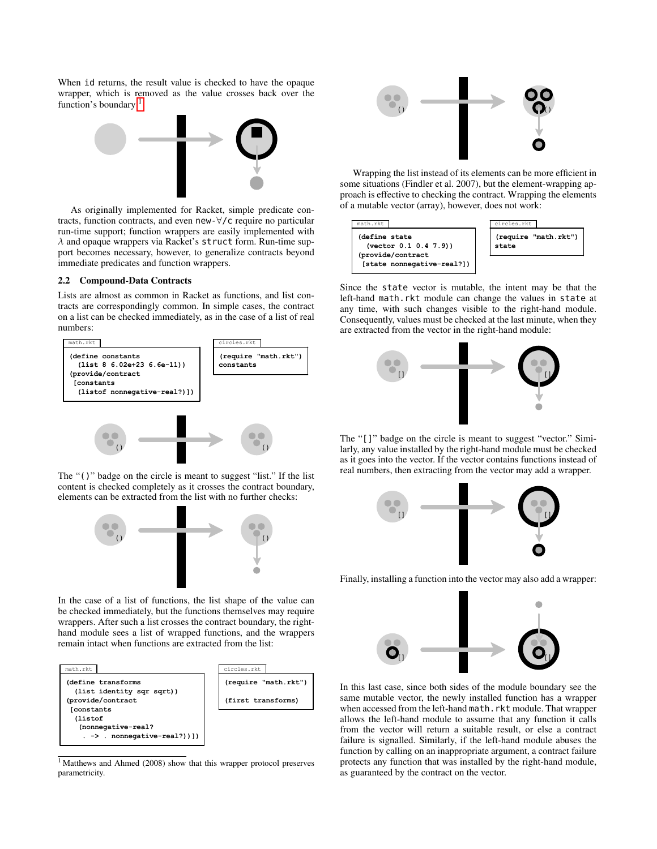When id returns, the result value is checked to have the opaque wrapper, which is removed as the value crosses back over the function's boundary:<sup>1</sup>



As originally implemented for Racket, simple predicate contracts, function contracts, and even new- $\forall$ / $\zeta$  require no particular run-time support; function wrappers are easily implemented with  $\lambda$  and opaque wrappers via Racket's struct form. Run-time support becomes necessary, however, to generalize contracts beyond immediate predicates and function wrappers.

## 2.2 Compound-Data Contracts

Lists are almost as common in Racket as functions, and list contracts are correspondingly common. In simple cases, the contract on a list can be checked immediately, as in the case of a list of real numbers:



The "()" badge on the circle is meant to suggest "list." If the list content is checked completely as it crosses the contract boundary, elements can be extracted from the list with no further checks:



In the case of a list of functions, the list shape of the value can be checked immediately, but the functions themselves may require wrappers. After such a list crosses the contract boundary, the righthand module sees a list of wrapped functions, and the wrappers remain intact when functions are extracted from the list:



<span id="page-2-0"></span><sup>1</sup>Matthews and Ahmed (2008) show that this wrapper protocol preserves parametricity.



Wrapping the list instead of its elements can be more efficient in some situations (Findler et al. 2007), but the element-wrapping approach is effective to checking the contract. Wrapping the elements of a mutable vector (array), however, does not work:



Since the state vector is mutable, the intent may be that the left-hand math.rkt module can change the values in state at any time, with such changes visible to the right-hand module. Consequently, values must be checked at the last minute, when they are extracted from the vector in the right-hand module:



The "[]" badge on the circle is meant to suggest "vector." Similarly, any value installed by the right-hand module must be checked as it goes into the vector. If the vector contains functions instead of real numbers, then extracting from the vector may add a wrapper.



Finally, installing a function into the vector may also add a wrapper:



In this last case, since both sides of the module boundary see the same mutable vector, the newly installed function has a wrapper when accessed from the left-hand math. rkt module. That wrapper allows the left-hand module to assume that any function it calls from the vector will return a suitable result, or else a contract failure is signalled. Similarly, if the left-hand module abuses the function by calling on an inappropriate argument, a contract failure protects any function that was installed by the right-hand module, as guaranteed by the contract on the vector.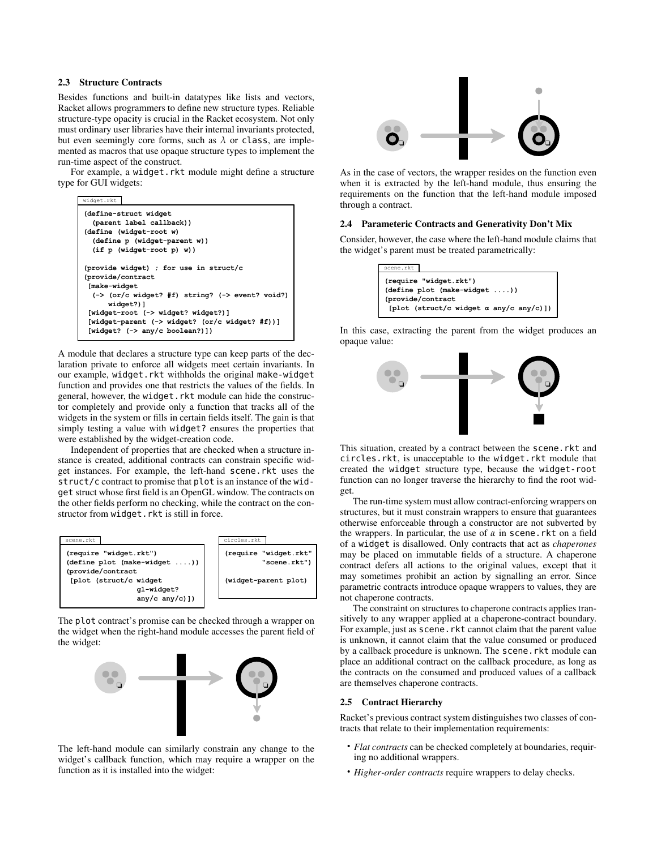## 2.3 Structure Contracts

Besides functions and built-in datatypes like lists and vectors, Racket allows programmers to define new structure types. Reliable structure-type opacity is crucial in the Racket ecosystem. Not only must ordinary user libraries have their internal invariants protected, but even seemingly core forms, such as  $\lambda$  or class, are implemented as macros that use opaque structure types to implement the run-time aspect of the construct.

For example, a widget.rkt module might define a structure type for GUI widgets:

| widget.rkt                                                                                                                                                                                                                                                                          |
|-------------------------------------------------------------------------------------------------------------------------------------------------------------------------------------------------------------------------------------------------------------------------------------|
| (define-struct widget)<br>(parent label callback))                                                                                                                                                                                                                                  |
| (define (widget-root w)                                                                                                                                                                                                                                                             |
| (define p (widget-parent w))                                                                                                                                                                                                                                                        |
| $(if p (wide-root p) w))$                                                                                                                                                                                                                                                           |
| (provide widget) ; for use in struct/c<br>(provide/contract<br>[make-widget<br>$(-)$ (or/c widget? #f) string? ( $\rightarrow$ event? void?)<br>widget?)]<br>[widget-root (-> widget? widget?)]<br>[widget-parent (-> widget? (or/c widget? #f))]<br>[widget? (-> any/c boolean?)]) |

A module that declares a structure type can keep parts of the declaration private to enforce all widgets meet certain invariants. In our example, widget.rkt withholds the original make-widget function and provides one that restricts the values of the fields. In general, however, the widget. rkt module can hide the constructor completely and provide only a function that tracks all of the widgets in the system or fills in certain fields itself. The gain is that simply testing a value with widget? ensures the properties that were established by the widget-creation code.

Independent of properties that are checked when a structure instance is created, additional contracts can constrain specific widget instances. For example, the left-hand scene.rkt uses the struct/c contract to promise that plot is an instance of the widget struct whose first field is an OpenGL window. The contracts on the other fields perform no checking, while the contract on the constructor from widget. rkt is still in force.



The plot contract's promise can be checked through a wrapper on the widget when the right-hand module accesses the parent field of the widget:



The left-hand module can similarly constrain any change to the widget's callback function, which may require a wrapper on the function as it is installed into the widget:



As in the case of vectors, the wrapper resides on the function even when it is extracted by the left-hand module, thus ensuring the requirements on the function that the left-hand module imposed through a contract.

## 2.4 Parameteric Contracts and Generativity Don't Mix

Consider, however, the case where the left-hand module claims that the widget's parent must be treated parametrically:

| scene.rkt                                         |
|---------------------------------------------------|
| (require "widget.rkt")                            |
| $(\text{define plot } (\text{make-wide}) \dots))$ |
| (provide/contract                                 |
| [plot (struct/c widget $\alpha$ any/c any/c)])    |

In this case, extracting the parent from the widget produces an opaque value:



This situation, created by a contract between the scene. rkt and circles.rkt, is unacceptable to the widget.rkt module that created the widget structure type, because the widget-root function can no longer traverse the hierarchy to find the root widget.

The run-time system must allow contract-enforcing wrappers on structures, but it must constrain wrappers to ensure that guarantees otherwise enforceable through a constructor are not subverted by the wrappers. In particular, the use of  $\alpha$  in scene. rkt on a field of a widget is disallowed. Only contracts that act as *chaperones* may be placed on immutable fields of a structure. A chaperone contract defers all actions to the original values, except that it may sometimes prohibit an action by signalling an error. Since parametric contracts introduce opaque wrappers to values, they are not chaperone contracts.

The constraint on structures to chaperone contracts applies transitively to any wrapper applied at a chaperone-contract boundary. For example, just as scene. rkt cannot claim that the parent value is unknown, it cannot claim that the value consumed or produced by a callback procedure is unknown. The scene. rkt module can place an additional contract on the callback procedure, as long as the contracts on the consumed and produced values of a callback are themselves chaperone contracts.

#### 2.5 Contract Hierarchy

Racket's previous contract system distinguishes two classes of contracts that relate to their implementation requirements:

- Flat contracts can be checked completely at boundaries, requiring no additional wrappers.
- Higher-order contracts require wrappers to delay checks.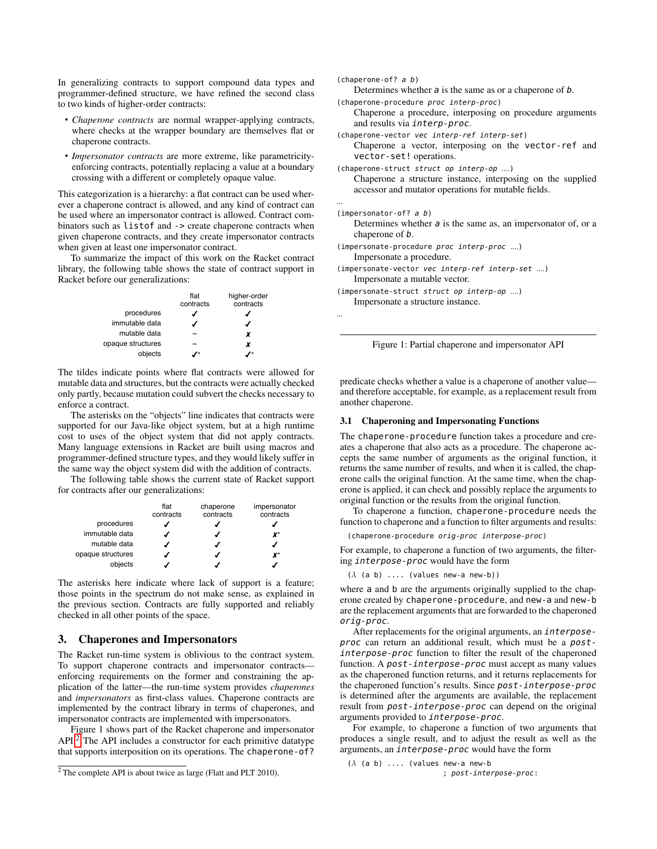In generalizing contracts to support compound data types and programmer-defined structure, we have refined the second class to two kinds of higher-order contracts:

- Chaperone contracts are normal wrapper-applying contracts, where checks at the wrapper boundary are themselves flat or chaperone contracts.
- Impersonator contracts are more extreme, like parametricityenforcing contracts, potentially replacing a value at a boundary crossing with a different or completely opaque value.

This categorization is a hierarchy: a flat contract can be used wherever a chaperone contract is allowed, and any kind of contract can be used where an impersonator contract is allowed. Contract combinators such as listof and -> create chaperone contracts when given chaperone contracts, and they create impersonator contracts when given at least one impersonator contract.

To summarize the impact of this work on the Racket contract library, the following table shows the state of contract support in Racket before our generalizations:

|                   | flat<br>contracts | higher-order<br>contracts |
|-------------------|-------------------|---------------------------|
| procedures        |                   |                           |
| immutable data    |                   |                           |
| mutable data      | $\tilde{}$        | x                         |
| opaque structures | $\tilde{}$        | x                         |
| objects           |                   |                           |

The tildes indicate points where flat contracts were allowed for mutable data and structures, but the contracts were actually checked only partly, because mutation could subvert the checks necessary to enforce a contract.

The asterisks on the "objects" line indicates that contracts were supported for our Java-like object system, but at a high runtime cost to uses of the object system that did not apply contracts. Many language extensions in Racket are built using macros and programmer-defined structure types, and they would likely suffer in the same way the object system did with the addition of contracts.

The following table shows the current state of Racket support for contracts after our generalizations:

|                   | flat<br>contracts | chaperone<br>contracts | impersonator<br>contracts |
|-------------------|-------------------|------------------------|---------------------------|
| procedures        |                   |                        |                           |
| immutable data    |                   |                        | x*                        |
| mutable data      |                   |                        |                           |
| opaque structures |                   |                        | X*                        |
| objects           |                   |                        |                           |

The asterisks here indicate where lack of support is a feature; those points in the spectrum do not make sense, as explained in the previous section. Contracts are fully supported and reliably checked in all other points of the space.

## 3. Chaperones and Impersonators

The Racket run-time system is oblivious to the contract system. To support chaperone contracts and impersonator contractsenforcing requirements on the former and constraining the application of the latter—the run-time system provides *chaperones* and *impersonators* as first-class values. Chaperone contracts are implemented by the contract library in terms of chaperones, and impersonator contracts are implemented with impersonators.

Figure 1 shows part of the Racket chaperone and impersonator  $API<sup>2</sup>$  The API includes a constructor for each primitive datatype that supports interposition on its operations. The chaperone-of?

```
(charheneverone-of? a b)Determines whether a is the same as or a chaperone of b.
(chaperone-procedure proc interp-proc)
   Chaperone a procedure, interposing on procedure arguments
   and results via interp-proc.
(chaperone-vector vec interp-ref interp-set)
   Chaperone a vector, interposing on the vector-ref and
   vector-set! operations.
(chaperone-struct struct op interp-op ....)
   Chaperone a structure instance, interposing on the supplied
   accessor and mutator operations for mutable fields.
(impersonator-of? a b)Determines whether a is the same as, an impersonator of, or a
   chaperone of b.
(impersonate-procedure proc interp-proc ....)
   Impersonate a procedure.
(impersonate-vector vec interp-ref interp-set ....)
   Impersonate a mutable vector.
(impersonate-struct struct op interp-op ....)
   Impersonate a structure instance.
```


predicate checks whether a value is a chaperone of another valueand therefore acceptable, for example, as a replacement result from another chaperone.

#### 3.1 Chaperoning and Impersonating Functions

The chaperone-procedure function takes a procedure and creates a chaperone that also acts as a procedure. The chaperone accepts the same number of arguments as the original function, it returns the same number of results, and when it is called, the chaperone calls the original function. At the same time, when the chaperone is applied, it can check and possibly replace the arguments to original function or the results from the original function.

To chaperone a function, chaperone-procedure needs the function to chaperone and a function to filter arguments and results:

(chaperone-procedure orig-proc interpose-proc)

For example, to chaperone a function of two arguments, the filtering interpose-proc would have the form

 $(\lambda$  (a b) .... (values new-a new-b))

where a and b are the arguments originally supplied to the chaperone created by chaperone-procedure, and new-a and new-b are the replacement arguments that are forwarded to the chaperoned orig-proc.

After replacements for the original arguments, an interposeproc can return an additional result, which must be a postinterpose-proc function to filter the result of the chaperoned function. A post-interpose-proc must accept as many values as the chaperoned function returns, and it returns replacements for the chaperoned function's results. Since post-interpose-proc is determined after the arguments are available, the replacement result from post-interpose-proc can depend on the original arguments provided to interpose-proc.

For example, to chaperone a function of two arguments that produces a single result, and to adjust the result as well as the arguments, an interpose-proc would have the form

```
(\lambda (a b) .... (values new-a new-b
                        ; post-interpose-proc:
```
<span id="page-4-0"></span><sup>&</sup>lt;sup>2</sup> The complete API is about twice as large (Flatt and PLT 2010).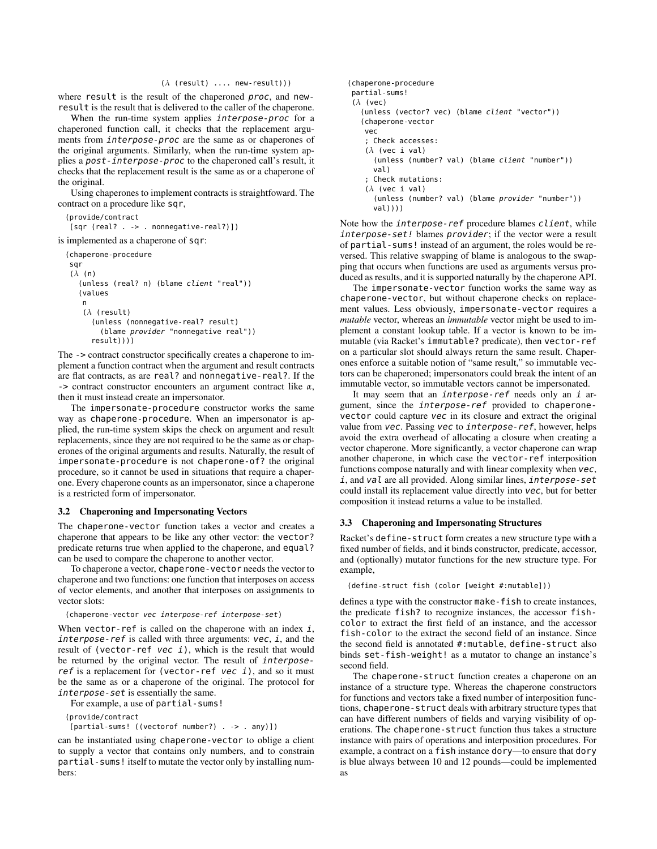#### (*λ* (result) .... new-result)))

where result is the result of the chaperoned proc, and newresult is the result that is delivered to the caller of the chaperone.

When the run-time system applies interpose-proc for a chaperoned function call, it checks that the replacement arguments from interpose-proc are the same as or chaperones of the original arguments. Similarly, when the run-time system applies a post-interpose-proc to the chaperoned call's result, it checks that the replacement result is the same as or a chaperone of the original.

Using chaperones to implement contracts is straightfoward. The contract on a procedure like sqr,

```
(provide/contract
[sqr (real? . -> . nonnegative-real?)])
```
is implemented as a chaperone of sqr:

(chaperone-procedure

```
sqr
(λ (n)
  (unless (real? n) (blame client "real"))
  (values
   n
   (λ (result)
     (unless (nonnegative-real? result)
       (blame provider "nonnegative real"))
     result)))
```
The -> contract constructor specifically creates a chaperone to implement a function contract when the argument and result contracts are flat contracts, as are real? and nonnegative-real?. If the -> contract constructor encounters an argument contract like *α*, then it must instead create an impersonator.

The impersonate-procedure constructor works the same way as chaperone-procedure. When an impersonator is applied, the run-time system skips the check on argument and result replacements, since they are not required to be the same as or chaperones of the original arguments and results. Naturally, the result of impersonate-procedure is not chaperone-of? the original procedure, so it cannot be used in situations that require a chaperone. Every chaperone counts as an impersonator, since a chaperone is a restricted form of impersonator.

#### 3.2 Chaperoning and Impersonating Vectors

The chaperone-vector function takes a vector and creates a chaperone that appears to be like any other vector: the vector? predicate returns true when applied to the chaperone, and equal? can be used to compare the chaperone to another vector.

To chaperone a vector, chaperone-vector needs the vector to chaperone and two functions: one function that interposes on access of vector elements, and another that interposes on assignments to vector slots:

#### (chaperone-vector vec interpose-ref interpose-set)

When vector-ref is called on the chaperone with an index  $i$ , interpose-ref is called with three arguments:  $vec$ , i, and the result of (vector-ref vec  $i$ ), which is the result that would be returned by the original vector. The result of interposeref is a replacement for (vector-ref vec  $i$ ), and so it must be the same as or a chaperone of the original. The protocol for interpose-set is essentially the same.

For example, a use of partial-sums!

(provide/contract

[partial-sums! ((vectorof number?) . -> . any)])

can be instantiated using chaperone-vector to oblige a client to supply a vector that contains only numbers, and to constrain partial-sums! itself to mutate the vector only by installing numbers:

```
(chaperone-procedure
```

```
partial-sums!
(λ (vec)
```

```
(unless (vector? vec) (blame client "vector"))
(chaperone-vector
```

```
vec
```
; Check accesses:

(*λ* (vec i val)

(unless (number? val) (blame client "number")) val)

; Check mutations: (*λ* (vec i val)

(unless (number? val) (blame provider "number")) val))))

Note how the interpose-ref procedure blames client, while interpose-set! blames provider; if the vector were a result of partial-sums! instead of an argument, the roles would be reversed. This relative swapping of blame is analogous to the swapping that occurs when functions are used as arguments versus produced as results, and it is supported naturally by the chaperone API.

The impersonate-vector function works the same way as chaperone-vector, but without chaperone checks on replacement values. Less obviously, impersonate-vector requires a *mutable* vector, whereas an *immutable* vector might be used to implement a constant lookup table. If a vector is known to be immutable (via Racket's immutable? predicate), then vector-ref on a particular slot should always return the same result. Chaperones enforce a suitable notion of "same result," so immutable vectors can be chaperoned; impersonators could break the intent of an immutable vector, so immutable vectors cannot be impersonated.

It may seem that an interpose-ref needs only an  $i$  argument, since the interpose-ref provided to chaperonevector could capture vec in its closure and extract the original value from vec. Passing vec to interpose-ref, however, helps avoid the extra overhead of allocating a closure when creating a vector chaperone. More significantly, a vector chaperone can wrap another chaperone, in which case the vector-ref interposition functions compose naturally and with linear complexity when vec, i, and val are all provided. Along similar lines, interpose-set could install its replacement value directly into vec, but for better composition it instead returns a value to be installed.

## 3.3 Chaperoning and Impersonating Structures

Racket's define-struct form creates a new structure type with a fixed number of fields, and it binds constructor, predicate, accessor, and (optionally) mutator functions for the new structure type. For example,

(define-struct fish (color [weight #:mutable]))

defines a type with the constructor make-fish to create instances, the predicate fish? to recognize instances, the accessor fishcolor to extract the first field of an instance, and the accessor fish-color to the extract the second field of an instance. Since the second field is annotated #:mutable, define-struct also binds set-fish-weight! as a mutator to change an instance's second field.

The chaperone-struct function creates a chaperone on an instance of a structure type. Whereas the chaperone constructors for functions and vectors take a fixed number of interposition functions, chaperone-struct deals with arbitrary structure types that can have different numbers of fields and varying visibility of operations. The chaperone-struct function thus takes a structure instance with pairs of operations and interposition procedures. For example, a contract on a fish instance dory—to ensure that dory is blue always between 10 and 12 pounds—could be implemented as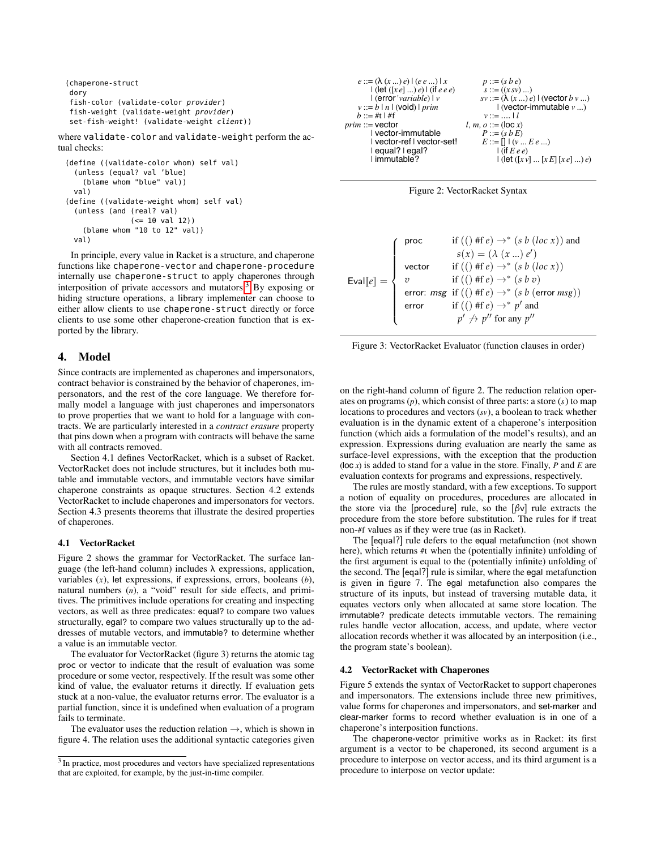```
(chaperone-struct
dory
fish-color (validate-color provider)
fish-weight (validate-weight provider)
set-fish-weight! (validate-weight client))
```
where validate-color and validate-weight perform the actual checks:

```
(define ((validate-color whom) self val)
  (unless (equal? val 'blue)
    (blame whom "blue" val))
 val)
(define ((validate-weight whom) self val)
  (unless (and (real? val)
               (<= 10 val 12))
    (blame whom "10 to 12" val))
 val)
```
In principle, every value in Racket is a structure, and chaperone functions like chaperone-vector and chaperone-procedure internally use chaperone-struct to apply chaperones through interposition of private accessors and mutators.<sup>3</sup> By exposing or hiding structure operations, a library implementer can choose to either allow clients to use chaperone-struct directly or force clients to use some other chaperone-creation function that is exported by the library.

## 4. Model

Since contracts are implemented as chaperones and impersonators, contract behavior is constrained by the behavior of chaperones, impersonators, and the rest of the core language. We therefore formally model a language with just chaperones and impersonators to prove properties that we want to hold for a language with contracts. We are particularly interested in a *contract erasure* property that pins down when a program with contracts will behave the same with all contracts removed.

Section 4.1 defines VectorRacket, which is a subset of Racket. VectorRacket does not include structures, but it includes both mutable and immutable vectors, and immutable vectors have similar chaperone constraints as opaque structures. Section 4.2 extends VectorRacket to include chaperones and impersonators for vectors. Section 4.3 presents theorems that illustrate the desired properties of chaperones.

## 4.1 VectorRacket

Figure 2 shows the grammar for VectorRacket. The surface language (the left-hand column) includes  $\lambda$  expressions, application, variables  $(x)$ , let expressions, if expressions, errors, booleans  $(b)$ , natural numbers  $(n)$ , a "void" result for side effects, and primitives. The primitives include operations for creating and inspecting vectors, as well as three predicates: equal? to compare two values structurally, egal? to compare two values structurally up to the addresses of mutable vectors, and immutable? to determine whether a value is an immutable vector

The evaluator for VectorRacket (figure 3) returns the atomic tag proc or vector to indicate that the result of evaluation was some procedure or some vector, respectively. If the result was some other kind of value, the evaluator returns it directly. If evaluation gets stuck at a non-value, the evaluator returns error. The evaluator is a partial function, since it is undefined when evaluation of a program fails to terminate.

The evaluator uses the reduction relation  $\rightarrow$ , which is shown in figure 4. The relation uses the additional syntactic categories given

| $e ::= (\lambda(x)e)   (e e )   x$     | $p ::= (s b e)$                                 |
|----------------------------------------|-------------------------------------------------|
| $ $ (let $([xe]  )e $ ) (if e e e)     | $s ::= ((x sv) )$                               |
| $ $ (error 'variable) $ v $            | $sv ::= (\lambda (x  ) e)   (vector b v  )$     |
| $v ::= b \mid n \mid (void) \mid prim$ | $\mathsf{I}$ (vector-immutable $v$ )            |
| $b ::= #t   #f$                        | $v ::=    l$                                    |
| $prim ::=$ vector                      | l, m, $o ::= (\text{loc } x)$                   |
| I vector-immutable                     | $P ::= (s b E)$                                 |
| I vector-ref I vector-set!             | $E ::= \prod (v  E e )$                         |
| $lequal?$ egal?                        | $l$ (if $Eee$ )                                 |
| I immutable?                           | $\vert$ (let $([xv] \dots [xE] [xe] \dots )e$ ) |



|                                         | proc   | if (() #f e) $\rightarrow^*$ (s b (loc x)) and                                                                                                                                                               |
|-----------------------------------------|--------|--------------------------------------------------------------------------------------------------------------------------------------------------------------------------------------------------------------|
|                                         |        | $s(x) = (\lambda (x  ) e')$                                                                                                                                                                                  |
|                                         | vector | if (() #f e) $\rightarrow^*$ (s b (loc x))                                                                                                                                                                   |
| Eval[e] = $\begin{cases} v \end{cases}$ |        | if (() #f e) $\rightarrow^*$ (s b v)                                                                                                                                                                         |
|                                         |        | $\mathsf{error}\text{: } \mathit{msg} \; \; \mathit{if} \; \big( \big( \big) \; \mathit{iff} \; e \big) \rightarrow^* \; \big( \mathit{s} \; \mathit{b} \; \big( \mathsf{error} \; \mathit{msg} \big) \big)$ |
|                                         | error  | if (() #f $e$ ) $\rightarrow^*$ p' and                                                                                                                                                                       |
|                                         |        | $p' \nrightarrow p''$ for any $p''$                                                                                                                                                                          |

Figure 3: VectorRacket Evaluator (function clauses in order)

on the right-hand column of figure 2. The reduction relation operates on programs  $(p)$ , which consist of three parts: a store  $(s)$  to map locations to procedures and vectors  $(sv)$ , a boolean to track whether evaluation is in the dynamic extent of a chaperone's interposition function (which aids a formulation of the model's results), and an expression. Expressions during evaluation are nearly the same as surface-level expressions, with the exception that the production (loc  $x$ ) is added to stand for a value in the store. Finally,  $P$  and  $E$  are evaluation contexts for programs and expressions, respectively.

The rules are mostly standard, with a few exceptions. To support a notion of equality on procedures, procedures are allocated in the store via the [procedure] rule, so the  $\left[\beta v\right]$  rule extracts the procedure from the store before substitution. The rules for if treat non-#f values as if they were true (as in Racket).

The [equal?] rule defers to the equal metafunction (not shown here), which returns #t when the (potentially infinite) unfolding of the first argument is equal to the (potentially infinite) unfolding of the second. The [eqal?] rule is similar, where the egal metafunction is given in figure 7. The egal metafunction also compares the structure of its inputs, but instead of traversing mutable data, it equates vectors only when allocated at same store location. The immutable? predicate detects immutable vectors. The remaining rules handle vector allocation, access, and update, where vector allocation records whether it was allocated by an interposition (i.e., the program state's boolean).

#### 4.2 VectorRacket with Chaperones

Figure 5 extends the syntax of VectorRacket to support chaperones and impersonators. The extensions include three new primitives, value forms for chaperones and impersonators, and set-marker and clear-marker forms to record whether evaluation is in one of a chaperone's interposition functions.

The chaperone-vector primitive works as in Racket: its first argument is a vector to be chaperoned, its second argument is a procedure to interpose on vector access, and its third argument is a procedure to interpose on vector update:

<span id="page-6-0"></span><sup>&</sup>lt;sup>3</sup> In practice, most procedures and vectors have specialized representations that are exploited, for example, by the just-in-time compiler.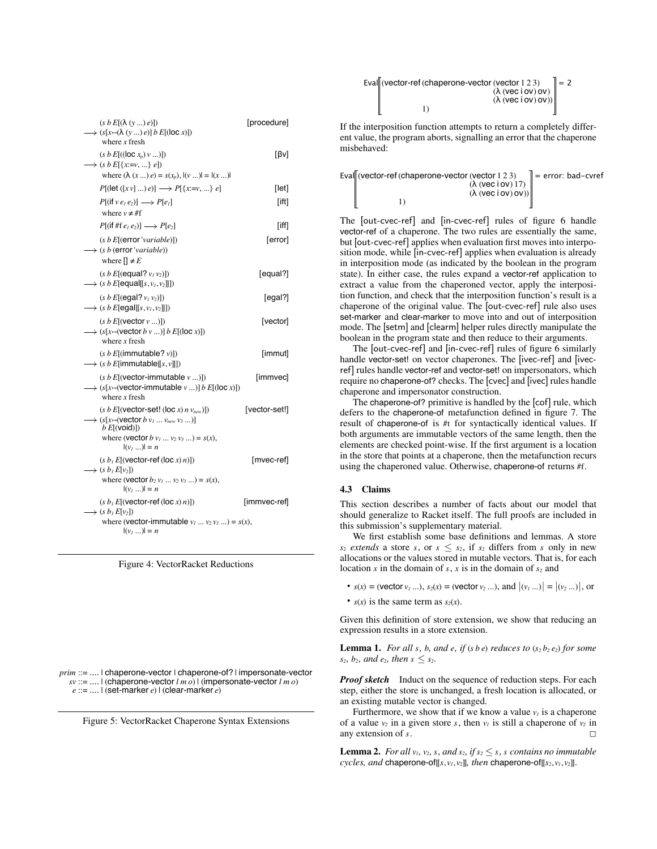| $(s b E[(\lambda (y) e)])$<br>$\rightarrow$ (s[x $\mapsto$ ( $\lambda$ (y ) e)] b E[(loc x)])<br>where $x$ fresh                                                                                                       | [procedure]   |
|------------------------------------------------------------------------------------------------------------------------------------------------------------------------------------------------------------------------|---------------|
| $(s b E[((\text{loc } x_p) v )])$<br>$\longrightarrow$ (s b E[{x:=v, } e])<br>where $(\lambda (x ) e) = s(x_p),  (v )  =  (x ) $                                                                                       | [Bv]          |
| $P[(let ([x v]  ) e)] \longrightarrow P[{x=v,  } e]$                                                                                                                                                                   | [let]         |
| $P[(ifve_1e_2)] \longrightarrow P[e_1]$<br>where $v \neq #f$                                                                                                                                                           | [ift]         |
| $P[(\text{if }#f e_1 e_2)] \longrightarrow P[e_2]$                                                                                                                                                                     | $[$ iff $]$   |
| (s b E[(error 'variable)])<br>$\longrightarrow$ (s b (error 'variable))<br>where $[] \neq E$                                                                                                                           | [error]       |
| $(s b E[$ (equal? $v1 v2)$ ])<br>$\longrightarrow$ (s b E[equal[[s, $v_1, v_2$ ]]])                                                                                                                                    | [equal?]      |
| $(s b E[$ (egal? $v_1 v_2)$ ])<br>$\rightarrow$ (s b E[egal[[s, $v_1, v_2$ ]]])                                                                                                                                        | [equal?]      |
| $(s b E[$ (vector $v )]$ )<br>$\longrightarrow$ $(s[x \mapsto (vector b v ) ] b E[(loc x)])$<br>where $x$ fresh                                                                                                        | [vector]      |
| (s b E[(immutable? v)])<br>$\longrightarrow$ (s b E[immutable[[s, v]]])                                                                                                                                                | [immut]       |
| $(s b E[(vector-immutable v )])$<br>$\rightarrow$ (s[x $\mapsto$ (vector-immutable v )] b E[(loc x)])<br>where $x$ fresh                                                                                               | [immvec]      |
| $(s b E[(vector-set! (loc x) n vnew)])$<br>$\rightarrow$ (s[x $\leftrightarrow$ (vector b $v_1 \dots v_{new} v_3 \dots$ )]<br>b E[(void)]<br>where ( <b>vector</b> $b$ $v_1$ $v_2$ $v_3$ ) = $s(x)$ ,<br>$ ({v_1}) =n$ | [vector-set!] |
| $(s b1 E[(vector-ref (loc x) n)])$<br>$\longrightarrow$ (s b <sub>1</sub> E[v <sub>2</sub> ])<br>where ( <b>vector</b> $b_2 v_1  v_2 v_3 $ ) = $s(x)$ ,<br>$ ({v_1} )  = n$                                            | [mvec-ref]    |
| $(s b1 E[(vector-ref (loc x) n)])$<br>$\rightarrow$ (s $b_1E[v_2]$ )<br>where ( <b>vector-immutable</b> $v_1  v_2 v_3 $ ) = $s(x)$ ,<br>$ ({v_1}) =n$                                                                  | [immvec-ref]  |



prim ::= .... | chaperone-vector | chaperone-of? | impersonate-vector  $sv ::= ...$  (chaperone-vector  $lm \omega$ ) (impersonate-vector  $lm \omega$ )  $e ::= ... \mid (set-market e) \mid (clear-market e)$ 

Figure 5: VectorRacket Chaperone Syntax Extensions

| Eval (vector-ref (chaperone-vector (vector 1 2 3) | $\parallel$ = 2 |
|---------------------------------------------------|-----------------|
| $(\lambda$ (vec i ov) ov)                         |                 |
| $(\lambda$ (vec i ov) ov))                        |                 |
|                                                   |                 |

If the interposition function attempts to return a completely different value, the program aborts, signalling an error that the chaperone misbehaved:

| Eval (vector-ref (chaperone-vector (vector $1\,2\,3$ ) | $\parallel$ = error: bad-cvref |
|--------------------------------------------------------|--------------------------------|
| $(\lambda$ (vec i ov) 17)                              |                                |
| $(\lambda$ (vec i ov) ov))                             |                                |
|                                                        |                                |

The [out-cvec-ref] and [in-cvec-ref] rules of figure 6 handle vector-ref of a chaperone. The two rules are essentially the same, but [out-cvec-ref] applies when evaluation first moves into interposition mode, while [in-cvec-ref] applies when evaluation is already in interposition mode (as indicated by the boolean in the program state). In either case, the rules expand a vector-ref application to extract a value from the chaperoned vector, apply the interposition function, and check that the interposition function's result is a chaperone of the original value. The [out-cvec-ref] rule also uses set-marker and clear-marker to move into and out of interposition mode. The [setm] and [clearm] helper rules directly manipulate the boolean in the program state and then reduce to their arguments.

The [out-cvec-ref] and [in-cvec-ref] rules of figure 6 similarly handle vector-set! on vector chaperones. The [ivec-ref] and [ivecref] rules handle vector-ref and vector-set! on impersonators, which require no chaperone-of? checks. The [cvec] and [ivec] rules handle chaperone and impersonator construction.

The chaperone-of? primitive is handled by the [cof] rule, which defers to the chaperone-of metafunction defined in figure 7. The result of chaperone-of is #t for syntactically identical values. If both arguments are immutable vectors of the same length, then the elements are checked point-wise. If the first argument is a location in the store that points at a chaperone, then the metafunction recurs using the chaperoned value. Otherwise, chaperone-of returns #f.

#### 4.3 Claims

This section describes a number of facts about our model that should generalize to Racket itself. The full proofs are included in this submission's supplementary material.

We first establish some base definitions and lemmas. A store  $s_2$  extends a store s, or  $s \leq s_2$ , if  $s_2$  differs from s only in new allocations or the values stored in mutable vectors. That is, for each location x in the domain of s, x is in the domain of  $s_2$  and

- $s(x) =$  (vector  $v_1$  ...),  $s_2(x) =$  (vector  $v_2$  ...), and  $|(v_1 \dots)| = |(v_2 \dots)|$ , or
- $s(x)$  is the same term as  $s_2(x)$ .

Given this definition of store extension, we show that reducing an expression results in a store extension.

**Lemma 1.** For all s, b, and e, if (s b e) reduces to  $(s_2 b_2 e_2)$  for some  $s_2$ ,  $b_2$ , and  $e_2$ , then  $s \leq s_2$ .

**Proof sketch** Induct on the sequence of reduction steps. For each step, either the store is unchanged, a fresh location is allocated, or an existing mutable vector is changed.

Furthermore, we show that if we know a value  $v_l$  is a chaperone of a value  $v_2$  in a given store s, then  $v_1$  is still a chaperone of  $v_2$  in any extension of s.

**Lemma 2.** For all  $v_1$ ,  $v_2$ ,  $s$ , and  $s_2$ , if  $s_2 \leq s$ , s contains no immutable cycles, and chaperone-of[[s,  $v_1$ ,  $v_2$ ]], then chaperone-of[[s<sub>2</sub>,  $v_1$ ,  $v_2$ ]].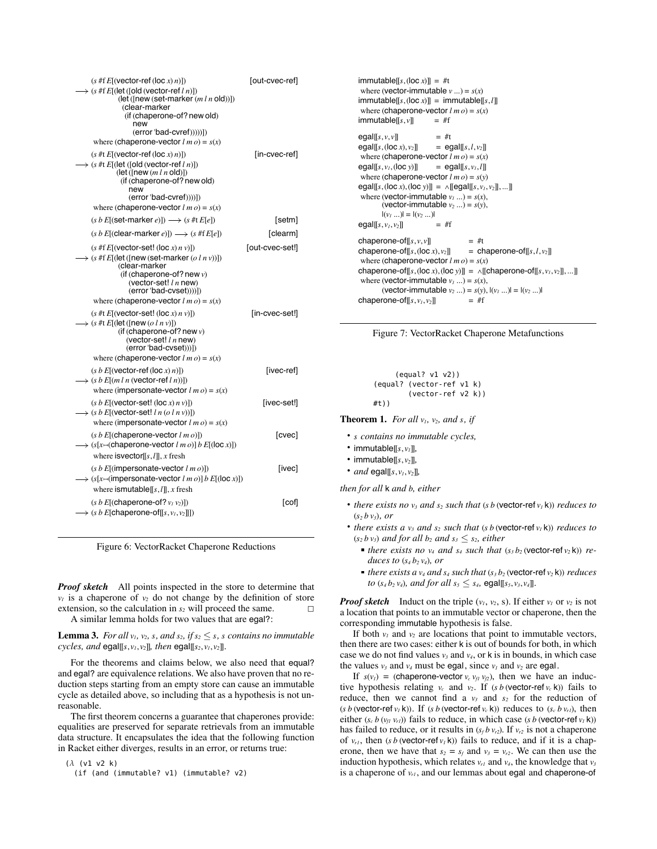| $(s \#f E[(vector-ref (loc x) n)])$<br>$\rightarrow$ (s #f E[(let ([old (vector-ref l n)])<br>$(\text{let}(\text{new}(\text{set-market}(m l n \text{old})))$<br>(clear-marker<br>(if (chaperone-of? new old)<br>new<br>(error 'bad-cvref)))))])<br>where (chaperone-vector $l$ m $o$ ) = $s(x)$ | [out-cvec-ref]  |
|-------------------------------------------------------------------------------------------------------------------------------------------------------------------------------------------------------------------------------------------------------------------------------------------------|-----------------|
| $(s \# t E[(vector-ref (loc x) n)])$<br>$\rightarrow$ (s #t E[(let ([old (vector-ref l n)])<br>$(\text{let} ([new (m l n old)])$<br>(if (chaperone-of? new old)<br>new<br>(error 'bad-cvref))))])<br>where (chaperone-vector $l$ <i>m</i> $o$ ) = $s(x)$                                        | [in-cvec-ref]   |
| $(s b E[$ (set-marker e)]) $\longrightarrow$ $(s \# t E[e])$                                                                                                                                                                                                                                    | [setm]          |
| $(s b E[$ (clear-marker e)]) $\longrightarrow$ $(s \# f E[e])$                                                                                                                                                                                                                                  | [clearm]        |
| $(s$ #f $E[(vector-set! (loc x) n v)])$<br>$\rightarrow$ (s #f E[(let ([new (set-marker (o l n v))])<br>(clear-marker<br>(if (chaperone-of? new $v$ )<br>(vector-set! $ln$ new)<br>(error 'bad-cvset))))])<br>where (chaperone-vector $l$ m $o$ ) = $s(x)$                                      | [out-cvec-set!] |
| $(s \# t E[(vector-set! (loc x) n v)])$<br>$\rightarrow$ (s #t E[(let ([new (o l n v)])<br>(if (chaperone-of? new $v$ )<br>(vector-set! $ln$ new)<br>$(error 'bad-cvset))$ ]<br>where (chaperone-vector $l$ m $o$ ) = $s(x)$                                                                    | [in-cvec-set!]  |
| $(s b E[(vector-ref (loc x) n)])$<br>$\rightarrow$ (s b E[(m l n (vector-ref l n))])<br>where (impersonate-vector $l$ <i>m</i> $o$ ) = $s(x)$                                                                                                                                                   | [ivec-ref]      |
| $(s b E[(vector-set! (loc x) n v)])$<br>$\rightarrow$ (s b E[(vector-set! l n (o l n v))])<br>where (impersonate-vector $l$ m $o$ ) = $s(x)$                                                                                                                                                    | [ivec-set!]     |
| $(s b E[(changerone-vector Im o)])$<br>$\rightarrow$ (s[x $\mapsto$ (chaperone-vector l m o)] b E[(loc x)])<br>where is vector $[[s, l]], x$ fresh                                                                                                                                              | [cvec]          |
| $(s b E[(impersonate-vector Im o)])$<br>$\Rightarrow$ (s[x $\leftrightarrow$ (impersonate-vector l m o)] b E[(loc x)])<br>where ismutable $[[s, l]], x$ fresh                                                                                                                                   | [ivec]          |
| $(s b E[(changecone-of? v1 v2)])$<br>$\rightarrow$ (s b E[chaperone-of[[s, $v_1, v_2$ ]])                                                                                                                                                                                                       | [cof]           |

Figure 6: VectorRacket Chaperone Reductions

**Proof sketch** All points inspected in the store to determine that  $v_1$  is a chaperone of  $v_2$  do not change by the definition of store extension, so the calculation in  $s_2$  will proceed the same.  $\Box$ A similar lemma holds for two values that are egal?:

**Lemma 3.** For all  $v_1$ ,  $v_2$ , s, and  $s_2$ , if  $s_2 \leq s$ , s contains no immutable cycles, and egal[[s,  $v_1$ ,  $v_2$ ]], then egal[[s<sub>2</sub>,  $v_1$ ,  $v_2$ ]].

For the theorems and claims below, we also need that equal? and egal? are equivalence relations. We also have proven that no reduction steps starting from an empty store can cause an immutable cycle as detailed above, so including that as a hypothesis is not unreasonable.

The first theorem concerns a guarantee that chaperones provide: equalities are preserved for separate retrievals from an immutable data structure. It encapsulates the idea that the following function in Racket either diverges, results in an error, or returns true:

 $(\lambda$  (v1 v2 k) (if (and (immutable? v1) (immutable? v2)

```
immutable[[s, (loc x)]] = #twhere (vector-immutable v ...) = s(x)\text{immutable}[[s, (\text{loc } x)]] = \text{immutable}[[s, l]]where (chaperone-vector l m o) = s(x)immutable[[s,v]]= #f
                            = #t
\text{egal}[[s, v, v]]egal[[s, (\text{loc } x), v_2]]
                            = egal[[s, l, v_2]]
where (chaperone-vector lm\rho) = s(x)egal [[s, v_1, (\text{loc } y)]]= egals, v_l, lwhere (chaperone-vector lm \, o) = s(v)egal[[s, (loc x), (loc y)]] = \wedge [[egal[[s, v<sub>1</sub>, v<sub>2</sub>]], ...]]
where (vector-immutable v_1 ...) = s(x),
        (vector-immutable v_2 ...) = s(y),
        |({v_1} ...)| = |({v_2} ...)|egal[[s, v_1, v_2]]
                            =#f
chaperone-of[[s, v, v]]= #t
chaperone-of[[s, (\text{loc } x), v_2]]
                                         = chaperone-of[[s, l, v_2]]where (chaperone-vector l m o) = s(x)chaperone-of[[s, (\text{loc } x), (\text{loc } y)]] = \wedge [[\text{chaperone-of}[[s, v_1, v_2]], \dots]]where (vector-immutable v_1 ...) = s(x),
        (vector-immutable v_2 ...) = s(y), |(v_1 ...)(= |(v_2 ...)(= 1))chaperone-of[[s, v_1, v_2]]= #f
```


```
(eaul? v1 v2))(equal? (vector-ref v1 k)
         (\text{vector-ref } v2 k))#t))
```
**Theorem 1.** For all  $v_1$ ,  $v_2$ , and s, if

- s contains no immutable cycles,
- immutable[[ $s, v_1$ ]],
- immutable[[ $s, v_2$ ]],
- and egal[[s,  $v_1$ ,  $v_2$ ]],

then for all k and b, either

- there exists no  $v_3$  and  $s_2$  such that (s b (vector-ref  $v_1$  k)) reduces to  $(s_2 b v_3)$ , or
- there exists a  $v_3$  and  $s_2$  such that (s b (vector-ref  $v_1$  k)) reduces to  $(s_2 b v_3)$  and for all  $b_2$  and  $s_3 \leq s_2$ , either
	- there exists no  $v_4$  and  $s_4$  such that  $(s_3 b_2$  (vector-ref  $v_2$  k)) reduces to  $(s_4b_2v_4)$ , or
	- there exists a  $v_4$  and  $s_4$  such that  $(s_3 b_2$  (vector-ref  $v_2$  k)) reduces to  $(s_4 b_2 v_4)$ , and for all  $s_5 \leq s_4$ , egal[[s<sub>5</sub>,  $v_3$ ,  $v_4$ ]].

**Proof sketch** Induct on the triple  $(v_1, v_2, s)$ . If either  $v_1$  or  $v_2$  is not a location that points to an immutable vector or chaperone, then the corresponding immutable hypothesis is false.

If both  $v_1$  and  $v_2$  are locations that point to immutable vectors, then there are two cases: either k is out of bounds for both, in which case we do not find values  $v_3$  and  $v_4$ , or k is in bounds, in which case the values  $v_3$  and  $v_4$  must be egal, since  $v_1$  and  $v_2$  are egal.

If  $s(v_1)$  = (chaperone-vector  $v_c v_{f1} v_{f2}$ ), then we have an inductive hypothesis relating  $v_c$  and  $v_2$ . If  $(s b$  (vector-ref  $v_c$  k)) fails to reduce, then we cannot find a  $v_3$  and  $s_2$  for the reduction of (s b (vector-ref  $v_l$  k)). If (s b (vector-ref  $v_c$  k)) reduces to (s<sub>c</sub> b  $v_{rl}$ ), then either  $(s_c b (v_f v_{rl}))$  fails to reduce, in which case  $(s b$  (vector-ref  $v_l$  k)) has failed to reduce, or it results in  $(s_f b v_{r2})$ . If  $v_{r2}$  is not a chaperone of  $v_{r1}$ , then (s b (vector-ref  $v_1$  k)) fails to reduce, and if it is a chaperone, then we have that  $s_2 = s_f$  and  $v_3 = v_{r2}$ . We can then use the induction hypothesis, which relates  $v_{r1}$  and  $v_4$ , the knowledge that  $v_3$ is a chaperone of  $v_{rl}$ , and our lemmas about egal and chaperone-of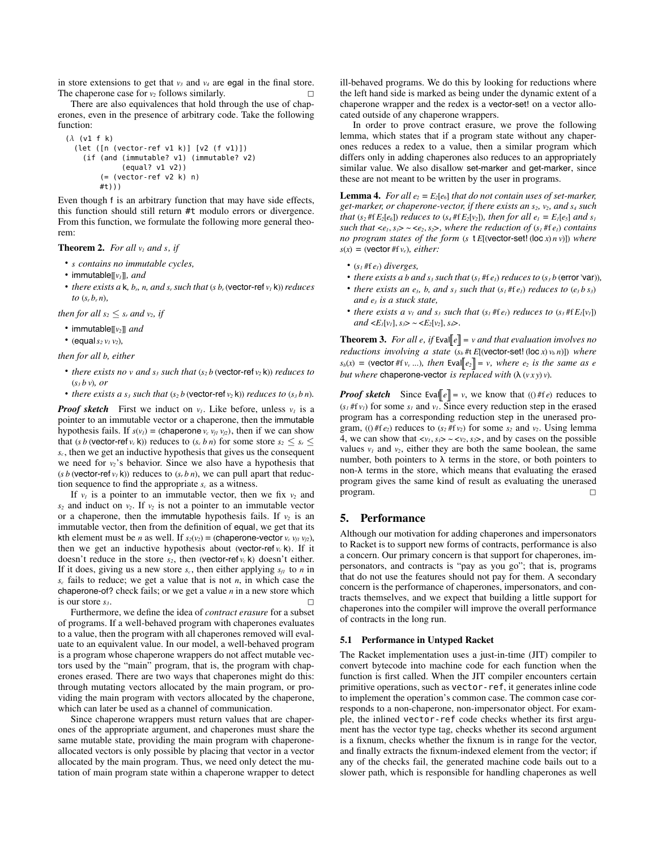in store extensions to get that  $v_3$  and  $v_4$  are egal in the final store. The chaperone case for  $v_2$  follows similarly.

There are also equivalences that hold through the use of chaperones, even in the presence of arbitrary code. Take the following function:

```
(\lambda (v1 f k)
  (left ([n (vector-ref v1 k)] [v2 (f v1)])(if (and (immutable? v1) (immutable? v2)
             (eaul? v1 v2))( (vector-ref v2 k) n)
        #t)))
```
Even though f is an arbitrary function that may have side effects, this function should still return #t modulo errors or divergence. From this function, we formulate the following more general theorem:

#### **Theorem 2.** For all  $v_1$  and s, if

- s contains no immutable cycles,
- immutable[[ $v_1$ ]], and
- there exists a  $k$ ,  $b_r$ ,  $n$ , and  $s_r$  such that (s  $b_r$  (vector-ref  $v_l$  k)) reduces to  $(s, b, n)$ .

then for all  $s_2 \leq s_r$  and  $v_2$ , if

- immutable[[ $v_2$ ]] and
- (equal  $s_2 v_1 v_2$ ),

then for all b, either

- there exists no v and  $s_3$  such that  $(s_2 b$  (vector-ref  $v_2$  k)) reduces to  $(s<sub>3</sub> b v)$ , or
- there exists a  $s_3$  such that  $(s_2 b$  (vector-ref  $v_2$  k)) reduces to  $(s_3 b n)$ .

**Proof sketch** First we induct on  $v_1$ . Like before, unless  $v_1$  is a pointer to an immutable vector or a chaperone, then the immutable hypothesis fails. If  $s(v_l) =$  (chaperone  $v_c v_{fl} v_{l2}$ ), then if we can show that (s b (vector-ref  $v_c$  k)) reduces to (s<sub>c</sub> b n) for some store  $s_2 \le s_r$  $s_c$ , then we get an inductive hypothesis that gives us the consequent we need for  $v_2$ 's behavior. Since we also have a hypothesis that (s b (vector-ref  $v_l$  k)) reduces to  $(s_r b n)$ , we can pull apart that reduction sequence to find the appropriate  $s_c$  as a witness.

If  $v_1$  is a pointer to an immutable vector, then we fix  $v_2$  and  $s_2$  and induct on  $v_2$ . If  $v_2$  is not a pointer to an immutable vector or a chaperone, then the immutable hypothesis fails. If  $v_2$  is an immutable vector, then from the definition of equal, we get that its kth element must be *n* as well. If  $s_2(v_2) =$  (chaperone-vector  $v_c v_{f1} v_{f2}$ ), then we get an inductive hypothesis about (vector-ref<sub> $v_c$ </sub>k). If it doesn't reduce in the store  $s_2$ , then (vector-ref  $v_c$  k) doesn't either. If it does, giving us a new store  $s_c$ , then either applying  $s_f$  to n in  $s_c$  fails to reduce; we get a value that is not *n*, in which case the chaperone-of? check fails; or we get a value  $n$  in a new store which is our store  $s_{3}$ .

Furthermore, we define the idea of *contract erasure* for a subset of programs. If a well-behaved program with chaperones evaluates to a value, then the program with all chaperones removed will evaluate to an equivalent value. In our model, a well-behaved program is a program whose chaperone wrappers do not affect mutable vectors used by the "main" program, that is, the program with chaperones erased. There are two ways that chaperones might do this: through mutating vectors allocated by the main program, or providing the main program with vectors allocated by the chaperone, which can later be used as a channel of communication.

Since chaperone wrappers must return values that are chaperones of the appropriate argument, and chaperones must share the same mutable state, providing the main program with chaperoneallocated vectors is only possible by placing that vector in a vector allocated by the main program. Thus, we need only detect the mutation of main program state within a chaperone wrapper to detect ill-behaved programs. We do this by looking for reductions where the left hand side is marked as being under the dynamic extent of a chaperone wrapper and the redex is a vector-set! on a vector allocated outside of any chaperone wrappers.

In order to prove contract erasure, we prove the following lemma, which states that if a program state without any chaperones reduces a redex to a value, then a similar program which differs only in adding chaperones also reduces to an appropriately similar value. We also disallow set-marker and get-marker, since these are not meant to be written by the user in programs.

**Lemma 4.** For all  $e_2 = E_2[e_6]$  that do not contain uses of set-marker, get-marker, or chaperone-vector, if there exists an  $s_2$ ,  $v_2$ , and  $s_4$  such that  $(s_2 \# fE_2[e_6])$  reduces to  $(s_4 \# fE_2[v_2])$ , then for all  $e_1 = E_1[e_5]$  and  $s_1$ such that  $\langle e_1, s_1 \rangle \sim \langle e_2, s_2 \rangle$ , where the reduction of  $(s_1 \# f e_1)$  contains no program states of the form (s  $t E[(vector-set | (loc x) n v)])$  where  $s(x) =$  (vector #f  $v_e$ ), *either*:

- $(s<sub>1</sub> #f<sub>e<sub>1</sub></sub>)$  diverges,
- there exists a b and  $s_3$  such that  $(s_1 \# f e_1)$  reduces to  $(s_3 b$  (error 'var)),
- there exists an  $e_3$ , b, and  $s_3$  such that  $(s_1 \# f e_1)$  reduces to  $(e_3 b s_3)$ and  $e_3$  is a stuck state,
- there exists a  $v_1$  and  $s_3$  such that  $(s_1 \# f e_1)$  reduces to  $(s_3 \# f E_I[v_1])$ and  $\langle E_I[v_I], s_3 \rangle \sim \langle E_2[v_2], s_4 \rangle$ .

**Theorem 3.** For all e, if Eval[e] = v and that evaluation involves no reductions involving a state  $(s_b # t E[(vector-set! (loc x) v_b n)])$  where  $s_b(x)$  = (vector #f  $v_y$  ...), then Eval  $e_2$  = v, where  $e_2$  is the same as e but where chaperone-vector is replaced with  $(\lambda (vxy)v)$ .

*Proof sketch* Since Eval  $\ell$  = v, we know that (0#fe) reduces to  $(s<sub>1</sub> #f<sub>v<sub>1</sub></sub>)$  for some  $s<sub>1</sub>$  and  $v<sub>1</sub>$ . Since every reduction step in the erased program has a corresponding reduction step in the unerased program, (0#f $e_2$ ) reduces to  $(s_2#f v_2)$  for some  $s_2$  and  $v_2$ . Using lemma 4, we can show that  $\langle v_1, s_1 \rangle \sim \langle v_2, s_2 \rangle$ , and by cases on the possible values  $v_1$  and  $v_2$ , either they are both the same boolean, the same number, both pointers to  $\lambda$  terms in the store, or both pointers to non- $\lambda$  terms in the store, which means that evaluating the erased program gives the same kind of result as evaluating the unerased program.  $\Box$ 

## 5. Performance

Although our motivation for adding chaperones and impersonators to Racket is to support new forms of contracts, performance is also a concern. Our primary concern is that support for chaperones, impersonators, and contracts is "pay as you go"; that is, programs that do not use the features should not pay for them. A secondary concern is the performance of chaperones, impersonators, and contracts themselves, and we expect that building a little support for chaperones into the compiler will improve the overall performance of contracts in the long run.

## 5.1 Performance in Untyped Racket

The Racket implementation uses a just-in-time (JIT) compiler to convert bytecode into machine code for each function when the function is first called. When the JIT compiler encounters certain primitive operations, such as vector-ref, it generates inline code to implement the operation's common case. The common case corresponds to a non-chaperone, non-impersonator object. For example, the inlined vector-ref code checks whether its first argument has the vector type tag, checks whether its second argument is a fixnum, checks whether the fixnum is in range for the vector, and finally extracts the fixnum-indexed element from the vector; if any of the checks fail, the generated machine code bails out to a slower path, which is responsible for handling chaperones as well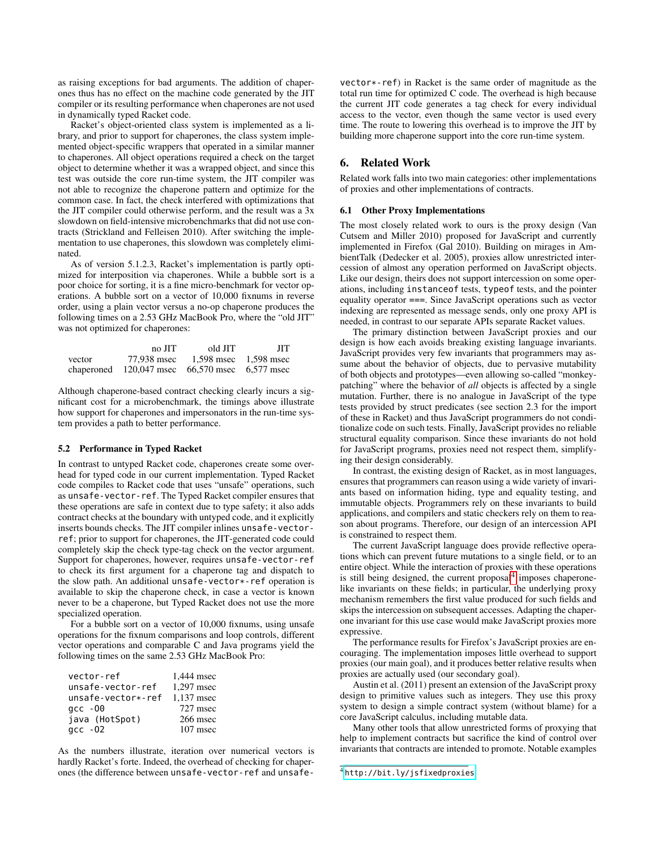as raising exceptions for bad arguments. The addition of chaperones thus has no effect on the machine code generated by the JIT compiler or its resulting performance when chaperones are not used in dynamically typed Racket code.

Racket's object-oriented class system is implemented as a library, and prior to support for chaperones, the class system implemented object-specific wrappers that operated in a similar manner to chaperones. All object operations required a check on the target object to determine whether it was a wrapped object, and since this test was outside the core run-time system, the JIT compiler was not able to recognize the chaperone pattern and optimize for the common case. In fact, the check interfered with optimizations that the JIT compiler could otherwise perform, and the result was a 3x slowdown on field-intensive microbenchmarks that did not use contracts (Strickland and Felleisen 2010). After switching the implementation to use chaperones, this slowdown was completely eliminated.

As of version 5.1.2.3, Racket's implementation is partly optimized for interposition via chaperones. While a bubble sort is a poor choice for sorting, it is a fine micro-benchmark for vector operations. A bubble sort on a vector of 10,000 fixnums in reverse order, using a plain vector versus a no-op chaperone produces the following times on a 2.53 GHz MacBook Pro, where the "old JIT" was not optimized for chaperones:

|        | no JIT                                               | old JIT               | <b>JIT</b> |
|--------|------------------------------------------------------|-----------------------|------------|
| vector | 77.938 msec                                          | 1.598 msec 1.598 msec |            |
|        | chaperoned $120,047$ msec $66,570$ msec $6,577$ msec |                       |            |

Although chaperone-based contract checking clearly incurs a significant cost for a microbenchmark, the timings above illustrate how support for chaperones and impersonators in the run-time system provides a path to better performance.

#### 5.2 Performance in Typed Racket

In contrast to untyped Racket code, chaperones create some overhead for typed code in our current implementation. Typed Racket code compiles to Racket code that uses "unsafe" operations, such as unsafe-vector-ref. The Typed Racket compiler ensures that these operations are safe in context due to type safety; it also adds contract checks at the boundary with untyped code, and it explicitly inserts bounds checks. The JIT compiler inlines unsafe-vectorref; prior to support for chaperones, the JIT-generated code could completely skip the check type-tag check on the vector argument. Support for chaperones, however, requires unsafe-vector-ref to check its first argument for a chaperone tag and dispatch to the slow path. An additional unsafe-vector\*-ref operation is available to skip the chaperone check, in case a vector is known never to be a chaperone, but Typed Racket does not use the more specialized operation.

For a bubble sort on a vector of 10,000 fixnums, using unsafe operations for the fixnum comparisons and loop controls, different vector operations and comparable C and Java programs yield the following times on the same 2.53 GHz MacBook Pro:

| vector-ref         | 1,444 msec |
|--------------------|------------|
| unsafe-vector-ref  | 1,297 msec |
| unsafe-vector*-ref | 1,137 msec |
| $qcc - 00$         | 727 msec   |
| java (HotSpot)     | 266 msec   |
| $qcc - 02$         | 107 msec   |

As the numbers illustrate, iteration over numerical vectors is hardly Racket's forte. Indeed, the overhead of checking for chaperones (the difference between unsafe-vector-ref and unsafevector\*-ref) in Racket is the same order of magnitude as the total run time for optimized C code. The overhead is high because the current JIT code generates a tag check for every individual access to the vector, even though the same vector is used every time. The route to lowering this overhead is to improve the JIT by building more chaperone support into the core run-time system.

## 6. Related Work

Related work falls into two main categories: other implementations of proxies and other implementations of contracts.

## 6.1 Other Proxy Implementations

The most closely related work to ours is the proxy design (Van Cutsem and Miller 2010) proposed for JavaScript and currently implemented in Firefox (Gal 2010). Building on mirages in AmbientTalk (Dedecker et al. 2005), proxies allow unrestricted intercession of almost any operation performed on JavaScript objects. Like our design, theirs does not support intercession on some operations, including instanceof tests, typeof tests, and the pointer equality operator ===. Since JavaScript operations such as vector indexing are represented as message sends, only one proxy API is needed, in contrast to our separate APIs separate Racket values.

The primary distinction between JavaScript proxies and our design is how each avoids breaking existing language invariants. JavaScript provides very few invariants that programmers may assume about the behavior of objects, due to pervasive mutability of both objects and prototypes—even allowing so-called "monkeypatching" where the behavior of *all* objects is affected by a single mutation. Further, there is no analogue in JavaScript of the type tests provided by struct predicates (see section 2.3 for the import of these in Racket) and thus JavaScript programmers do not conditionalize code on such tests. Finally, JavaScript provides no reliable structural equality comparison. Since these invariants do not hold for JavaScript programs, proxies need not respect them, simplifying their design considerably.

In contrast, the existing design of Racket, as in most languages, ensures that programmers can reason using a wide variety of invariants based on information hiding, type and equality testing, and immutable objects. Programmers rely on these invariants to build applications, and compilers and static checkers rely on them to reason about programs. Therefore, our design of an intercession API is constrained to respect them.

The current JavaScript language does provide reflective operations which can prevent future mutations to a single field, or to an entire object. While the interaction of proxies with these operations is still being designed, the current proposal<sup>[4](#page-10-0)</sup> imposes chaperonelike invariants on these fields; in particular, the underlying proxy mechanism remembers the first value produced for such fields and skips the intercession on subsequent accesses. Adapting the chaperone invariant for this use case would make JavaScript proxies more expressive.

The performance results for Firefox's JavaScript proxies are encouraging. The implementation imposes little overhead to support proxies (our main goal), and it produces better relative results when proxies are actually used (our secondary goal).

Austin et al. (2011) present an extension of the JavaScript proxy design to primitive values such as integers. They use this proxy system to design a simple contract system (without blame) for a core JavaScript calculus, including mutable data.

Many other tools that allow unrestricted forms of proxying that help to implement contracts but sacrifice the kind of control over invariants that contracts are intended to promote. Notable examples

<span id="page-10-0"></span><sup>4</sup> <http://bit.ly/jsfixedproxies>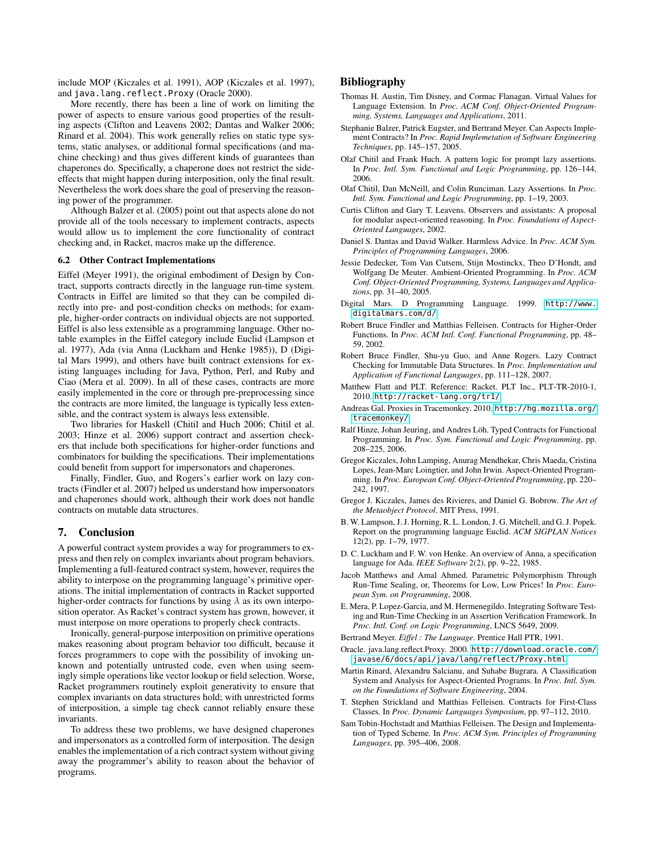include MOP (Kiczales et al. 1991), AOP (Kiczales et al. 1997), and java.lang.reflect.Proxy (Oracle 2000).

More recently, there has been a line of work on limiting the power of aspects to ensure various good properties of the resulting aspects (Clifton and Leavens 2002; Dantas and Walker 2006; Rinard et al. 2004). This work generally relies on static type systems, static analyses, or additional formal specifications (and machine checking) and thus gives different kinds of guarantees than chaperones do. Specifically, a chaperone does not restrict the sideeffects that might happen during interposition, only the final result. Nevertheless the work does share the goal of preserving the reasoning power of the programmer.

Although Balzer et al. (2005) point out that aspects alone do not provide all of the tools necessary to implement contracts, aspects would allow us to implement the core functionality of contract checking and, in Racket, macros make up the difference.

#### 6.2 Other Contract Implementations

Eiffel (Meyer 1991), the original embodiment of Design by Contract, supports contracts directly in the language run-time system. Contracts in Eiffel are limited so that they can be compiled directly into pre- and post-condition checks on methods; for example, higher-order contracts on individual objects are not supported. Eiffel is also less extensible as a programming language. Other notable examples in the Eiffel category include Euclid (Lampson et al. 1977), Ada (via Anna (Luckham and Henke 1985)), D (Digital Mars 1999), and others have built contract extensions for existing languages including for Java, Python, Perl, and Ruby and Ciao (Mera et al. 2009). In all of these cases, contracts are more easily implemented in the core or through pre-preprocessing since the contracts are more limited, the language is typically less extensible, and the contract system is always less extensible.

Two libraries for Haskell (Chitil and Huch 2006; Chitil et al. 2003; Hinze et al. 2006) support contract and assertion checkers that include both specifications for higher-order functions and combinators for building the specifications. Their implementations could benefit from support for impersonators and chaperones.

Finally, Findler, Guo, and Rogers's earlier work on lazy contracts (Findler et al. 2007) helped us understand how impersonators and chaperones should work, although their work does not handle contracts on mutable data structures.

## 7. Conclusion

A powerful contract system provides a way for programmers to express and then rely on complex invariants about program behaviors. Implementing a full-featured contract system, however, requires the ability to interpose on the programming language's primitive operations. The initial implementation of contracts in Racket supported higher-order contracts for functions by using  $\lambda$  as its own interposition operator. As Racket's contract system has grown, however, it must interpose on more operations to properly check contracts.

Ironically, general-purpose interposition on primitive operations makes reasoning about program behavior too difficult, because it forces programmers to cope with the possibility of invoking unknown and potentially untrusted code, even when using seemingly simple operations like vector lookup or field selection. Worse, Racket programmers routinely exploit generativity to ensure that complex invariants on data structures hold; with unrestricted forms of interposition, a simple tag check cannot reliably ensure these invariants.

To address these two problems, we have designed chaperones and impersonators as a controlled form of interposition. The design enables the implementation of a rich contract system without giving away the programmer's ability to reason about the behavior of programs.

## Bibliography

- Thomas H. Austin, Tim Disney, and Cormac Flanagan. Virtual Values for Language Extension. In *Proc. ACM Conf. Object-Oriented Programming, Systems, Languages and Applications*, 2011.
- Stephanie Balzer, Patrick Eugster, and Bertrand Meyer. Can Aspects Implement Contracts? In *Proc. Rapid Implemetation of Software Engineering Techniques*, pp. 145–157, 2005.
- Olaf Chitil and Frank Huch. A pattern logic for prompt lazy assertions. In *Proc. Intl. Sym. Functional and Logic Programming*, pp. 126–144, 2006.
- Olaf Chitil, Dan McNeill, and Colin Runciman. Lazy Assertions. In *Proc. Intl. Sym. Functional and Logic Programming*, pp. 1–19, 2003.
- Curtis Clifton and Gary T. Leavens. Observers and assistants: A proposal for modular aspect-oriented reasoning. In *Proc. Foundations of Aspect-Oriented Languages*, 2002.
- Daniel S. Dantas and David Walker. Harmless Advice. In *Proc. ACM Sym. Principles of Programming Languages*, 2006.
- Jessie Dedecker, Tom Van Cutsem, Stijn Mostinckx, Theo D'Hondt, and Wolfgang De Meuter. Ambient-Oriented Programming. In *Proc. ACM Conf. Object-Oriented Programming, Systems, Languages and Applications*, pp. 31–40, 2005.
- Digital Mars. D Programming Language. 1999. [http://www.](http://www.digitalmars.com/d/) [digitalmars.com/d/](http://www.digitalmars.com/d/)
- Robert Bruce Findler and Matthias Felleisen. Contracts for Higher-Order Functions. In *Proc. ACM Intl. Conf. Functional Programming*, pp. 48– 59, 2002.
- Robert Bruce Findler, Shu-yu Guo, and Anne Rogers. Lazy Contract Checking for Immutable Data Structures. In *Proc. Implementation and Application of Functional Languages*, pp. 111–128, 2007.
- Matthew Flatt and PLT. Reference: Racket. PLT Inc., PLT-TR-2010-1, 2010. <http://racket-lang.org/tr1/>
- Andreas Gal. Proxies in Tracemonkey. 2010. [http://hg.mozilla.org/](http://hg.mozilla.org/tracemonkey/) [tracemonkey/](http://hg.mozilla.org/tracemonkey/)
- Ralf Hinze, Johan Jeuring, and Andres Löh. Typed Contracts for Functional Programming. In *Proc. Sym. Functional and Logic Programming*, pp. 208–225, 2006.
- Gregor Kiczales, John Lamping, Anurag Mendhekar, Chris Maeda, Cristina Lopes, Jean-Marc Loingtier, and John Irwin. Aspect-Oriented Programming. In *Proc. European Conf. Object-Oriented Programming*, pp. 220– 242, 1997.
- Gregor J. Kiczales, James des Rivieres, and Daniel G. Bobrow. *The Art of the Metaobject Protocol*. MIT Press, 1991.
- B. W. Lampson, J. J. Horning, R. L. London, J. G. Mitchell, and G. J. Popek. Report on the programming language Euclid. *ACM SIGPLAN Notices* 12(2), pp. 1–79, 1977.
- D. C. Luckham and F. W. von Henke. An overview of Anna, a specification language for Ada. *IEEE Software* 2(2), pp. 9–22, 1985.
- Jacob Matthews and Amal Ahmed. Parametric Polymorphism Through Run-Time Sealing, or, Theorems for Low, Low Prices! In *Proc. European Sym. on Programming*, 2008.
- E. Mera, P. Lopez-Garcia, and M. Hermenegildo. Integrating Software Testing and Run-Time Checking in an Assertion Verification Framework. In *Proc. Intl. Conf. on Logic Programming*, LNCS 5649, 2009.
- Bertrand Meyer. *Eiffel : The Language*. Prentice Hall PTR, 1991.
- Oracle. java.lang.reflect.Proxy. 2000. [http://download.oracle.com/](http://download.oracle.com/javase/6/docs/api/java/lang/reflect/Proxy.html) [javase/6/docs/api/java/lang/reflect/Proxy.html](http://download.oracle.com/javase/6/docs/api/java/lang/reflect/Proxy.html)
- Martin Rinard, Alexandru Salcianu, and Suhabe Bugrara. A Classification System and Analysis for Aspect-Oriented Programs. In *Proc. Intl. Sym. on the Foundations of Software Engineering*, 2004.
- T. Stephen Strickland and Matthias Felleisen. Contracts for First-Class Classes. In *Proc. Dynamic Languages Symposium*, pp. 97–112, 2010.
- Sam Tobin-Hochstadt and Matthias Felleisen. The Design and Implementation of Typed Scheme. In *Proc. ACM Sym. Principles of Programming Languages*, pp. 395–406, 2008.